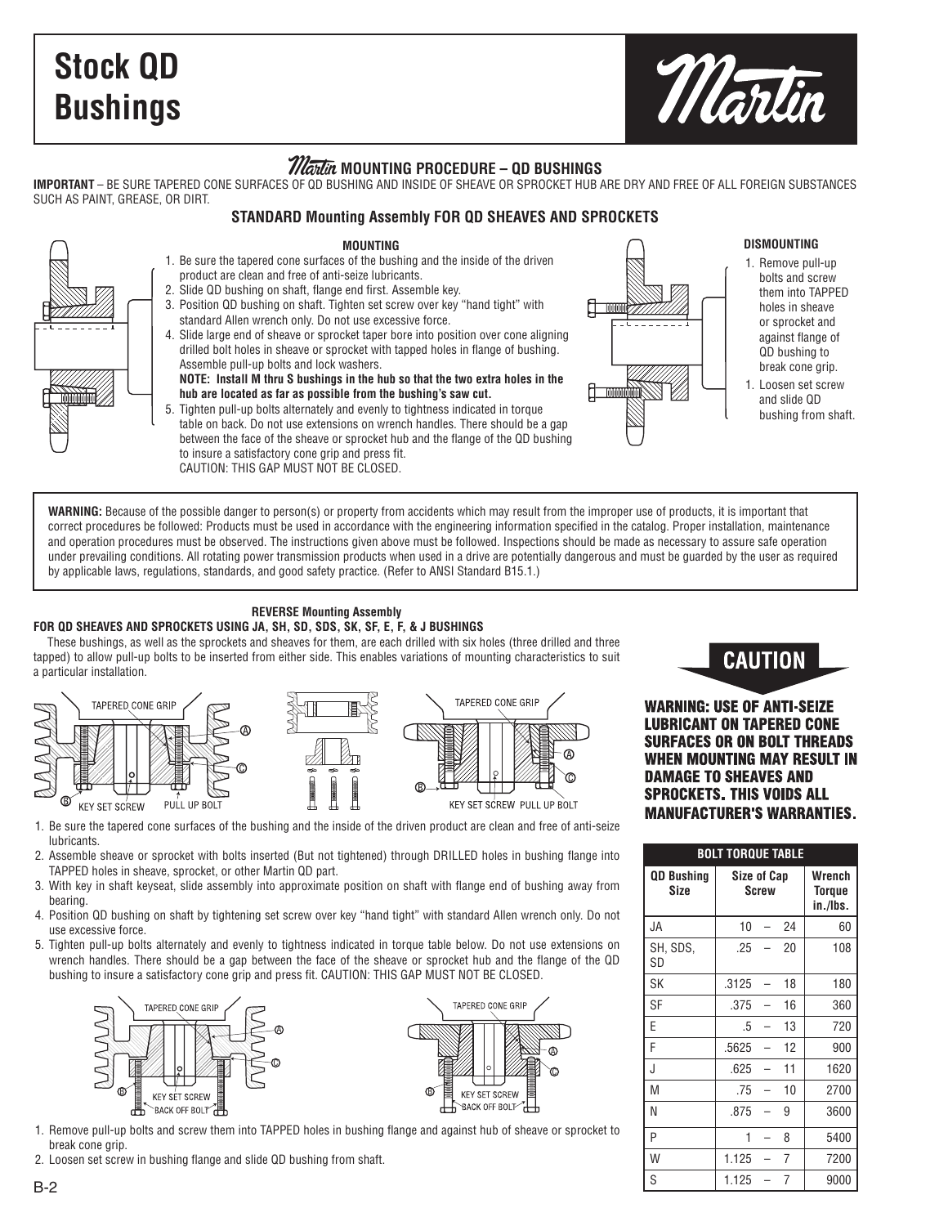# **Stock QD Bushings**



### Martin **MOUNTING PROCEDURE – QD BUSHINGS**

**IMPORTANT** – BE SURE TAPERED CONE SURFACES OF QD BUSHING AND INSIDE OF SHEAVE OR SPROCKET HUB ARE DRY AND FREE OF ALL FOREIGN SUBSTANCES SUCH AS PAINT, GREASE, OR DIRT.

### **STANDARD Mounting Assembly FOR QD SHEAVES AND SPROCKETS**

### **MOUNTING**

- 1. Be sure the tapered cone surfaces of the bushing and the inside of the driven product are clean and free of anti-seize lubricants. 2. Slide QD bushing on shaft, flange end first. Assemble key.
	- 3. Position QD bushing on shaft. Tighten set screw over key "hand tight" with standard Allen wrench only. Do not use excessive force.
	- 4. Slide large end of sheave or sprocket taper bore into position over cone aligning drilled bolt holes in sheave or sprocket with tapped holes in flange of bushing. Assemble pull-up bolts and lock washers.
		- **NOTE: Install M thru S bushings in the hub so that the two extra holes in the hub are located as far as possible from the bushing's saw cut.**
	- 5. Tighten pull-up bolts alternately and evenly to tightness indicated in torque table on back. Do not use extensions on wrench handles. There should be a gap between the face of the sheave or sprocket hub and the flange of the QD bushing to insure a satisfactory cone grip and press fit. CAUTION: THIS GAP MUST NOT BE CLOSED.



### **DISMOUNTING**

- 1. Remove pull-up bolts and screw them into TAPPED holes in sheave or sprocket and against flange of QD bushing to break cone grip.
- 1. Loosen set screw and slide QD bushing from shaft.

WARNING: Because of the possible danger to person(s) or property from accidents which may result from the improper use of products, it is important that correct procedures be followed: Products must be used in accordance with the engineering information specified in the catalog. Proper installation, maintenance and operation procedures must be observed. The instructions given above must be followed. Inspections should be made as necessary to assure safe operation under prevailing conditions. All rotating power transmission products when used in a drive are potentially dangerous and must be guarded by the user as required by applicable laws, regulations, standards, and good safety practice. (Refer to ANSI Standard B15.1.)

### **REVERSE Mounting Assembly FOR QD SHEAVES AND SPROCKETS USING JA, SH, SD, SDS, SK, SF, E, F, & J BUSHINGS**

These bushings, as well as the sprockets and sheaves for them, are each drilled with six holes (three drilled and three tapped) to allow pull-up bolts to be inserted from either side. This enables variations of mounting characteristics to suit a particular installation.





**WARNING: USE OF ANTI-SEIZE LUBRICANT ON TAPERED CONE SURFACES OR ON BOLT THREADS WHEN MOUNTING MAY RESULT IN DAMAGE TO SHEAVES AND SPROCKETS, THIS VOIDS ALL MANUFACTURER'S WARRANTIES.** 

| <b>BOLT TORQUE TABLE</b>         |                                    |                                     |    |      |  |  |  |  |  |  |
|----------------------------------|------------------------------------|-------------------------------------|----|------|--|--|--|--|--|--|
| <b>QD Bushing</b><br><b>Size</b> | <b>Size of Cap</b><br><b>Screw</b> | Wrench<br><b>Torque</b><br>in./Ibs. |    |      |  |  |  |  |  |  |
| JA.                              | 10                                 | $\overline{\phantom{0}}$            | 24 | 60   |  |  |  |  |  |  |
| SH, SDS,<br>SD                   | .25                                |                                     | 20 | 108  |  |  |  |  |  |  |
| SK                               | .3125                              | $\overline{a}$                      | 18 | 180  |  |  |  |  |  |  |
| SF                               | .375                               |                                     | 16 | 360  |  |  |  |  |  |  |
| F                                | .5                                 |                                     | 13 | 720  |  |  |  |  |  |  |
| F                                | .5625                              |                                     | 12 | 900  |  |  |  |  |  |  |
| J                                | .625                               |                                     | 11 | 1620 |  |  |  |  |  |  |
| M                                | .75                                |                                     | 10 | 2700 |  |  |  |  |  |  |
| N                                | .875                               |                                     | 9  | 3600 |  |  |  |  |  |  |
| P                                | 1                                  |                                     | 8  | 5400 |  |  |  |  |  |  |
| W                                | 1.125                              |                                     | 7  | 7200 |  |  |  |  |  |  |
| S                                | 1.125                              |                                     | 7  | 9000 |  |  |  |  |  |  |

- 1. Be sure the tapered cone surfaces of the bushing and the inside of the driven product are clean and free of anti-seize **lubricants**
- 2. Assemble sheave or sprocket with bolts inserted (But not tightened) through DRILLED holes in bushing flange into TAPPED holes in sheave, sprocket, or other Martin QD part.
- 3. With key in shaft keyseat, slide assembly into approximate position on shaft with flange end of bushing away from bearing.
- 4. Position QD bushing on shaft by tightening set screw over key "hand tight" with standard Allen wrench only. Do not use excessive force.
- 5. Tighten pull-up bolts alternately and evenly to tightness indicated in torque table below. Do not use extensions on wrench handles. There should be a gap between the face of the sheave or sprocket hub and the flange of the QD bushing to insure a satisfactory cone grip and press fit. CAUTION: THIS GAP MUST NOT BE CLOSED.





- 1. Remove pull-up bolts and screw them into TAPPED holes in bushing flange and against hub of sheave or sprocket to break cone grip.
- 2. Loosen set screw in bushing flange and slide QD bushing from shaft.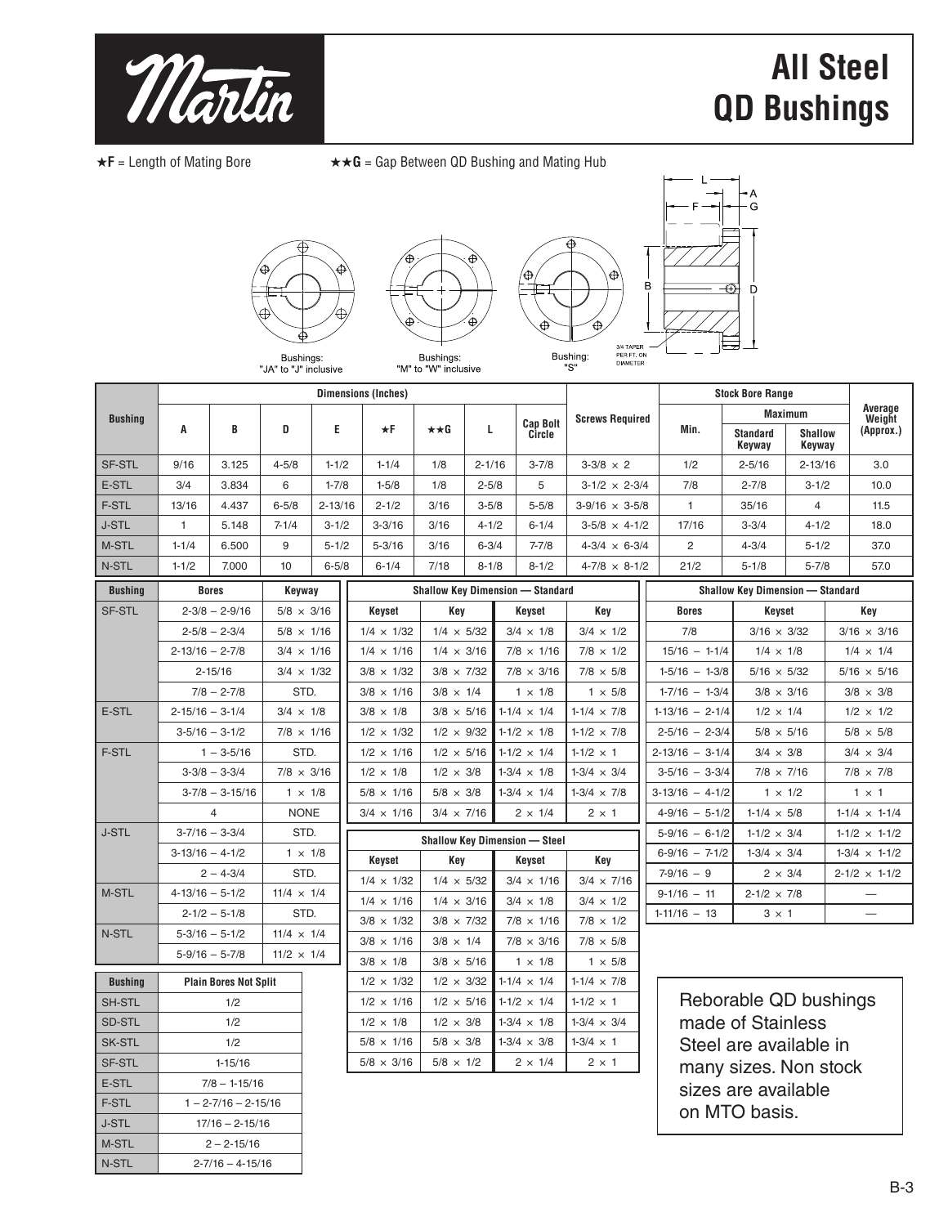

# **All Steel QD Bushings**

★**F** = Length of Mating Bore ★★**G** = Gap Between QD Bushing and Mating Hub







Bushings:<br>"JA" to "J" inclusive

|                |                       |                      |                   |             | <b>Dimensions (Inches)</b> |                      |            |                                         |                          |  |                  | <b>Stock Bore Range</b>                 |                          |                   |                    |
|----------------|-----------------------|----------------------|-------------------|-------------|----------------------------|----------------------|------------|-----------------------------------------|--------------------------|--|------------------|-----------------------------------------|--------------------------|-------------------|--------------------|
| <b>Bushing</b> |                       |                      |                   |             |                            |                      |            |                                         | <b>Screws Required</b>   |  |                  | <b>Maximum</b>                          |                          | Average<br>Weight |                    |
|                | A                     | B                    | D                 | E           | $\star$ F                  | $\star \star G$<br>L |            | <b>Cap Bolt</b><br>Circle               |                          |  | Min.             | <b>Standard</b><br>Keyway               | <b>Shallow</b><br>Keyway |                   | (Approx.)          |
| <b>SF-STL</b>  | 9/16                  | 3.125                | $4 - 5/8$         | $1 - 1/2$   | $1 - 1/4$                  | 1/8                  | $2 - 1/16$ | $3 - 7/8$                               | $3 - 3/8 \times 2$       |  | 1/2              | $2 - 5/16$                              | $2 - 13/16$              |                   | 3.0                |
| E-STL          | 3/4                   | 3.834                | 6                 | $1 - 7/8$   | $1 - 5/8$                  | 1/8                  | $2 - 5/8$  | 5                                       | $3-1/2 \times 2-3/4$     |  | 7/8              | $2 - 7/8$                               | $3 - 1/2$                |                   | 10.0               |
| <b>F-STL</b>   | 13/16                 | 4.437                | $6 - 5/8$         | $2 - 13/16$ | $2 - 1/2$                  | 3/16                 | $3 - 5/8$  | $5 - 5/8$                               | $3-9/16 \times 3-5/8$    |  |                  | 35/16                                   | $\overline{4}$           |                   | 11.5               |
| <b>J-STL</b>   | $\overline{1}$        | 5.148                | $7 - 1/4$         | $3 - 1/2$   | $3 - 3/16$                 | 3/16                 | $4 - 1/2$  | $6 - 1/4$                               | $3-5/8 \times 4-1/2$     |  | 17/16            | $3 - 3/4$                               | $4 - 1/2$                |                   | 18.0               |
| M-STL          | $1 - 1/4$             | 6.500                | 9                 | $5 - 1/2$   | $5 - 3/16$                 | 3/16                 | $6 - 3/4$  | $7 - 7/8$                               | $4 - 3/4 \times 6 - 3/4$ |  | 2                | $4 - 3/4$                               | $5 - 1/2$                |                   | 37.0               |
| N-STL          | $1 - 1/2$             | 7.000                | 10                | $6 - 5/8$   | $6 - 1/4$                  | 7/18                 | $8 - 1/8$  | $8 - 1/2$                               | $4 - 7/8 \times 8 - 1/2$ |  | 21/2             | $5 - 1/8$                               | $5 - 7/8$                |                   | 57.0               |
| <b>Bushing</b> |                       | <b>Bores</b>         | Keyway            |             |                            |                      |            | <b>Shallow Key Dimension - Standard</b> |                          |  |                  | <b>Shallow Key Dimension - Standard</b> |                          |                   |                    |
| <b>SF-STL</b>  |                       | $2 - 3/8 - 2 - 9/16$ | $5/8 \times 3/16$ |             | Keyset                     | Key                  |            | Keyset                                  | Key                      |  | <b>Bores</b>     | Keyset                                  |                          |                   | Key                |
|                |                       | $2 - 5/8 - 2 - 3/4$  | $5/8 \times 1/16$ |             | $1/4 \times 1/32$          | $1/4 \times 5/32$    |            | $3/4 \times 1/8$                        | $3/4 \times 1/2$         |  | 7/8              | $3/16 \times 3/32$                      |                          |                   | $3/16 \times 3/16$ |
|                | $2 - 13/16 - 2 - 7/8$ |                      | $3/4 \times 1/16$ |             | $1/4 \times 1/16$          | $1/4 \times 3/16$    |            | $7/8 \times 1/16$                       | $7/8 \times 1/2$         |  | $15/16 - 1-1/4$  | $1/4 \times 1/8$                        |                          |                   | $1/4 \times 1/4$   |
|                |                       | $2 - 15/16$          | $3/4 \times 1/32$ |             | $3/8 \times 1/32$          | $3/8 \times 7/32$    |            | $7/8 \times 3/16$                       | $7/8 \times 5/8$         |  | $1-5/16 - 1-3/8$ | $5/16 \times 5/32$                      |                          |                   | $5/16 \times 5/16$ |
|                |                       |                      |                   |             |                            |                      |            |                                         |                          |  |                  |                                         |                          |                   |                    |

|              | $2 - 5/8 - 2 - 3/4$   | $5/8 \times 1/16$ |
|--------------|-----------------------|-------------------|
|              | $2 - 13/16 - 2 - 7/8$ | $3/4 \times 1/16$ |
|              | $2 - 15/16$           | $3/4 \times 1/32$ |
|              | $7/8 - 2 - 7/8$       | STD.              |
| E-STL        | $2 - 15/16 - 3 - 1/4$ | $3/4 \times 1/8$  |
|              | $3 - 5/16 - 3 - 1/2$  | $7/8 \times 1/16$ |
| F-STL        | $1 - 3 - 5/16$        | STD.              |
|              | $3 - 3/8 - 3 - 3/4$   | $7/8 \times 3/16$ |
|              | $3-7/8 - 3-15/16$     | $1 \times 1/8$    |
|              | 4                     | <b>NONE</b>       |
| <b>J-STL</b> | $3 - 7/16 - 3 - 3/4$  | STD.              |
|              | $3-13/16 - 4-1/2$     | $1 \times 1/8$    |
|              | $2 - 4 - 3/4$         | STD.              |
| M-STL        | $4-13/16 - 5-1/2$     | $11/4 \times 1/4$ |
|              | $2 - 1/2 - 5 - 1/8$   | STD.              |
| N-STL        | $5-3/16 - 5-1/2$      | $11/4 \times 1/4$ |
|              | $5 - 9/16 - 5 - 7/8$  | $11/2 \times 1/4$ |

| <b>Bushing</b> | <b>Plain Bores Not Split</b> |
|----------------|------------------------------|
| <b>SH-STL</b>  | 1/2                          |
| <b>SD-STL</b>  | 1/2                          |
| <b>SK-STL</b>  | 1/2                          |
| <b>SF-STL</b>  | $1 - 15/16$                  |
| E-STL          | $7/8 - 1 - 15/16$            |
| F-STL          | $1 - 2 - 7/16 - 2 - 15/16$   |
| <b>J-STL</b>   | $17/16 - 2 - 15/16$          |
| M-STL          | $2 - 2 - 15/16$              |
| N-STL          | $2 - 7/16 - 4 - 15/16$       |

| Shahow Key Dimension — Standard      |                   |                    |                    |  |  |  |  |  |  |  |
|--------------------------------------|-------------------|--------------------|--------------------|--|--|--|--|--|--|--|
| Keyset                               | Key               | Keyset             | Key                |  |  |  |  |  |  |  |
| $1/4 \times 1/32$                    | $1/4 \times 5/32$ | $3/4 \times 1/8$   | $3/4 \times 1/2$   |  |  |  |  |  |  |  |
| $1/4 \times 1/16$                    | $1/4 \times 3/16$ | $7/8 \times 1/16$  | $7/8 \times 1/2$   |  |  |  |  |  |  |  |
| $3/8 \times 1/32$                    | $3/8 \times 7/32$ | $7/8 \times 3/16$  | $7/8 \times 5/8$   |  |  |  |  |  |  |  |
| $3/8 \times 1/16$                    | $3/8 \times 1/4$  | $1 \times 1/8$     | $1 \times 5/8$     |  |  |  |  |  |  |  |
| $3/8 \times 1/8$                     | $3/8 \times 5/16$ | $1-1/4 \times 1/4$ | $1-1/4 \times 7/8$ |  |  |  |  |  |  |  |
| $1/2 \times 1/32$                    | $1/2 \times 9/32$ | $1-1/2 \times 1/8$ | $1-1/2 \times 7/8$ |  |  |  |  |  |  |  |
| $1/2 \times 1/16$                    | $1/2 \times 5/16$ | $1-1/2 \times 1/4$ | $1 - 1/2 \times 1$ |  |  |  |  |  |  |  |
| $1/2 \times 1/8$                     | $1/2 \times 3/8$  | $1-3/4 \times 1/8$ | $1-3/4 \times 3/4$ |  |  |  |  |  |  |  |
| $5/8 \times 1/16$                    | $5/8 \times 3/8$  | $1-3/4 \times 1/4$ | $1-3/4 \times 7/8$ |  |  |  |  |  |  |  |
| $3/4 \times 1/16$                    | $3/4 \times 7/16$ | $2 \times 1/4$     | $2 \times 1$       |  |  |  |  |  |  |  |
| <b>Shallow Key Dimension - Steel</b> |                   |                    |                    |  |  |  |  |  |  |  |
|                                      |                   |                    |                    |  |  |  |  |  |  |  |
| Keyset                               | Key               | Keyset             | Key                |  |  |  |  |  |  |  |
| $1/4 \times 1/32$                    | $1/4 \times 5/32$ | $3/4 \times 1/16$  | $3/4 \times 7/16$  |  |  |  |  |  |  |  |
| $1/4 \times 1/16$                    | $1/4 \times 3/16$ | $3/4 \times 1/8$   | $3/4 \times 1/2$   |  |  |  |  |  |  |  |
| $3/8 \times 1/32$                    | $3/8 \times 7/32$ | $7/8 \times 1/16$  | $7/8 \times 1/2$   |  |  |  |  |  |  |  |
| $3/8 \times 1/16$                    | $3/8 \times 1/4$  | $7/8 \times 3/16$  | $7/8 \times 5/8$   |  |  |  |  |  |  |  |
| $3/8 \times 1/8$                     | $3/8 \times 5/16$ | $1 \times 1/8$     | $1 \times 5/8$     |  |  |  |  |  |  |  |
| $1/2 \times 1/32$                    | $1/2 \times 3/32$ | $1-1/4 \times 1/4$ | $1-1/4 \times 7/8$ |  |  |  |  |  |  |  |
| $1/2 \times 1/16$                    | $1/2 \times 5/16$ | $1-1/2 \times 1/4$ | $1 - 1/2 \times 1$ |  |  |  |  |  |  |  |

 $5/8 \times 1/16$  5/8  $\times$  3/8 1-3/4  $\times$  3/8 1-3/4  $\times$  1  $5/8 \times 3/16$  5/8  $\times$  1/2 2  $\times$  1/4 2  $\times$  1

| <b>Shallow Key Dimension - Standard</b> |                      |                          |  |  |  |  |  |  |  |  |
|-----------------------------------------|----------------------|--------------------------|--|--|--|--|--|--|--|--|
| <b>Bores</b>                            | Keyset               | Key                      |  |  |  |  |  |  |  |  |
| 7/8                                     | $3/16 \times 3/32$   | $3/16 \times 3/16$       |  |  |  |  |  |  |  |  |
| $15/16 - 1-1/4$                         | $1/4 \times 1/8$     | $1/4 \times 1/4$         |  |  |  |  |  |  |  |  |
| $1-5/16 - 1-3/8$                        | $5/16 \times 5/32$   | $5/16 \times 5/16$       |  |  |  |  |  |  |  |  |
| $1-7/16 - 1-3/4$                        | $3/8 \times 3/16$    | $3/8 \times 3/8$         |  |  |  |  |  |  |  |  |
| $1-13/16 - 2-1/4$                       | $1/2 \times 1/4$     | $1/2 \times 1/2$         |  |  |  |  |  |  |  |  |
| $2 - 5/16 - 2 - 3/4$                    | $5/8 \times 5/16$    | $5/8 \times 5/8$         |  |  |  |  |  |  |  |  |
| $2 - 13/16 - 3 - 1/4$                   | $3/4 \times 3/8$     | $3/4 \times 3/4$         |  |  |  |  |  |  |  |  |
| $3-5/16 - 3-3/4$                        | $7/8 \times 7/16$    | $7/8 \times 7/8$         |  |  |  |  |  |  |  |  |
| $3-13/16 - 4-1/2$                       | $1 \times 1/2$       | $1 \times 1$             |  |  |  |  |  |  |  |  |
| $4-9/16 - 5-1/2$                        | $1-1/4 \times 5/8$   | $1-1/4 \times 1-1/4$     |  |  |  |  |  |  |  |  |
| $5-9/16 - 6-1/2$                        | $1-1/2 \times 3/4$   | $1-1/2 \times 1-1/2$     |  |  |  |  |  |  |  |  |
| $6-9/16 - 7-1/2$                        | $1-3/4 \times 3/4$   | $1-3/4 \times 1-1/2$     |  |  |  |  |  |  |  |  |
| $7-9/16 - 9$                            | $2 \times 3/4$       | $2 - 1/2 \times 1 - 1/2$ |  |  |  |  |  |  |  |  |
| $9-1/16 - 11$                           | $2 - 1/2 \times 7/8$ |                          |  |  |  |  |  |  |  |  |
| $1-11/16 - 13$                          | $3 \times 1$         |                          |  |  |  |  |  |  |  |  |

Reborable QD bushings made of Stainless Steel are available in many sizes. Non stock sizes are available on MTO basis.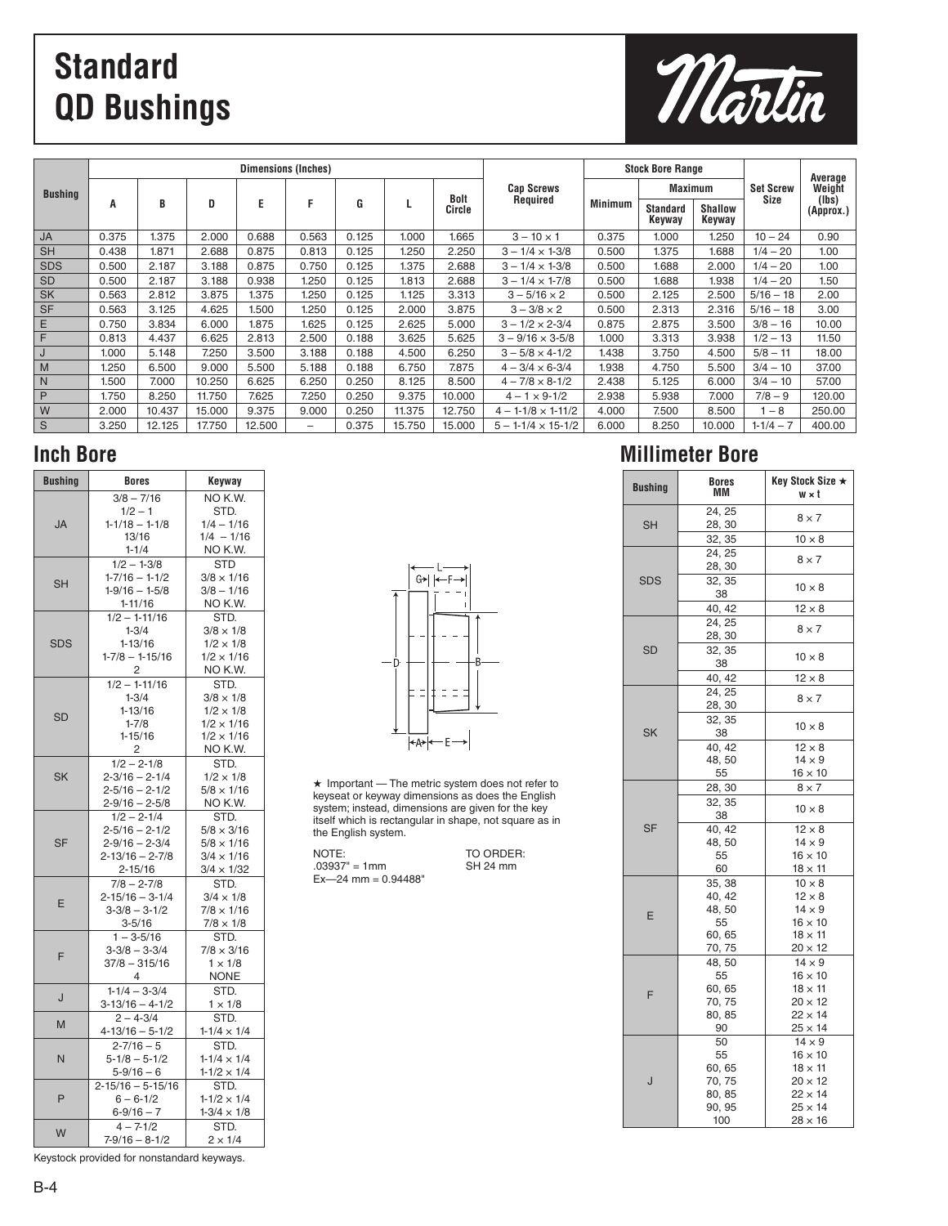# **Standard QD Bushings**



|                |       |        |        | <b>Dimensions (Inches)</b> |                   |       |        |        |                               | <b>Stock Bore Range</b> |                           |                          |                  | Average            |
|----------------|-------|--------|--------|----------------------------|-------------------|-------|--------|--------|-------------------------------|-------------------------|---------------------------|--------------------------|------------------|--------------------|
| <b>Bushing</b> |       |        |        |                            |                   |       |        | Bolt   | <b>Cap Screws</b>             |                         | <b>Maximum</b>            |                          | <b>Set Screw</b> | Weight             |
|                | A     | B      | D      | E                          | F                 | G     |        | Circle | Required                      | <b>Minimum</b>          | <b>Standard</b><br>Keyway | <b>Shallow</b><br>Keyway | Size             | (lbs)<br>(Approx.) |
| JA             | 0.375 | 1.375  | 2.000  | 0.688                      | 0.563             | 0.125 | 1.000  | 1.665  | $3 - 10 \times 1$             | 0.375                   | 1.000                     | 1.250                    | $10 - 24$        | 0.90               |
| <b>SH</b>      | 0.438 | 1.871  | 2.688  | 0.875                      | 0.813             | 0.125 | l.250  | 2.250  | $3 - 1/4 \times 1 - 3/8$      | 0.500                   | 1.375                     | 1.688                    | $1/4 - 20$       | 1.00               |
| <b>SDS</b>     | 0.500 | 2.187  | 3.188  | 0.875                      | 0.750             | 0.125 | 1.375  | 2.688  | $3 - 1/4 \times 1 - 3/8$      | 0.500                   | 1.688                     | 2.000                    | $1/4 - 20$       | 1.00               |
| <b>SD</b>      | 0.500 | 2.187  | 3.188  | 0.938                      | 1.250             | 0.125 | 1.813  | 2.688  | $3 - 1/4 \times 1 - 7/8$      | 0.500                   | 1.688                     | 1.938                    | $1/4 - 20$       | 1.50               |
| <b>SK</b>      | 0.563 | 2.812  | 3.875  | 1.375                      | 1.250             | 0.125 | 1.125  | 3.313  | $3 - 5/16 \times 2$           | 0.500                   | 2.125                     | 2.500                    | $5/16 - 18$      | 2.00               |
| <b>SF</b>      | 0.563 | 3.125  | 4.625  | 1.500                      | 1.250             | 0.125 | 2.000  | 3.875  | $3 - 3/8 \times 2$            | 0.500                   | 2.313                     | 2.316                    | $5/16 - 18$      | 3.00               |
| Ε              | 0.750 | 3.834  | 6.000  | 1.875                      | 1.625             | 0.125 | 2.625  | 5.000  | $3 - 1/2 \times 2 - 3/4$      | 0.875                   | 2.875                     | 3.500                    | $3/8 - 16$       | 10.00              |
| IF.            | 0.813 | 4.437  | 6.625  | 2.813                      | 2.500             | 0.188 | 3.625  | 5.625  | $3 - 9/16 \times 3 - 5/8$     | 1.000                   | 3.313                     | 3.938                    | $1/2 - 13$       | 11.50              |
| J              | 1.000 | 5.148  | 7.250  | 3.500                      | 3.188             | 0.188 | 4.500  | 6.250  | $3 - 5/8 \times 4 - 1/2$      | 1.438                   | 3.750                     | 4.500                    | $5/8 - 11$       | 18.00              |
| l M            | 1.250 | 6.500  | 9.000  | 5.500                      | 5.188             | 0.188 | 6.750  | 7.875  | $4 - 3/4 \times 6 - 3/4$      | 1.938                   | 4.750                     | 5.500                    | $3/4 - 10$       | 37.00              |
| l N            | 1.500 | 7.000  | 10.250 | 6.625                      | 6.250             | 0.250 | 8.125  | 8.500  | $4 - 7/8 \times 8 - 1/2$      | 2.438                   | 5.125                     | 6.000                    | $3/4 - 10$       | 57.00              |
| P              | 1.750 | 8.250  | 11.750 | 7.625                      | 7.250             | 0.250 | 9.375  | 10.000 | $4 - 1 \times 9 - 1/2$        | 2.938                   | 5.938                     | 7.000                    | $7/8 - 9$        | 120.00             |
| W              | 2.000 | 10.437 | 15.000 | 9.375                      | 9.000             | 0.250 | 11.375 | 12.750 | $4 - 1 - 1/8 \times 1 - 11/2$ | 4.000                   | 7.500                     | 8.500                    | $-8$             | 250.00             |
| S              | 3.250 | 12.125 | 17.750 | 12.500                     | $\qquad \qquad -$ | 0.375 | 15.750 | 15.000 | $5 - 1 - 1/4 \times 15 - 1/2$ | 6.000                   | 8.250                     | 10.000                   | $1-1/4-7$        | 400.00             |

| <b>Bushing</b> | <b>Bores</b>                             | Keyway                                |
|----------------|------------------------------------------|---------------------------------------|
|                | $3/8 - 7/16$                             | NO K.W.                               |
|                | $1/2 - 1$                                | STD.                                  |
| <b>JA</b>      | $1-1/18 - 1-1/8$                         | $1/4 - 1/16$                          |
|                | 13/16                                    | $1/4 - 1/16$                          |
|                | $1 - 1/4$                                | NO K.W.                               |
|                | $1/2 - 1 - 3/8$                          | <b>STD</b>                            |
| <b>SH</b>      | $1-7/16 - 1-1/2$                         | $3/8 \times 1/16$                     |
|                | $1-9/16 - 1-5/8$                         | $3/8 - 1/16$                          |
|                | $1 - 11/16$                              | NO K.W.                               |
|                | $1/2 - 1 - 11/16$                        | STD.                                  |
| <b>SDS</b>     | $1 - 3/4$<br>$1 - 13/16$                 | $3/8 \times 1/8$<br>$1/2 \times 1/8$  |
|                | $1-7/8 - 1-15/16$                        | $1/2 \times 1/16$                     |
|                | 2                                        | NO K.W.                               |
|                | $1/2 - 1 - 11/16$                        | STD.                                  |
|                | $1 - 3/4$                                | $3/8 \times 1/8$                      |
|                | $1 - 13/16$                              | $1/2 \times 1/8$                      |
| <b>SD</b>      | $1 - 7/8$                                | $1/2 \times 1/16$                     |
|                | $1 - 15/16$                              | $1/2 \times 1/16$                     |
|                | 2                                        | NO K.W.                               |
|                | $1/2 - 2 - 1/8$                          | STD.                                  |
| <b>SK</b>      | $2 - 3/16 - 2 - 1/4$                     | $1/2 \times 1/8$                      |
|                | $2 - 5/16 - 2 - 1/2$                     | $5/8 \times 1/16$                     |
|                | $2 - 9/16 - 2 - 5/8$                     | NO K.W.                               |
|                | $1/2 - 2 - 1/4$                          | STD.                                  |
|                | $2 - 5/16 - 2 - 1/2$                     | $5/8 \times 3/16$                     |
| <b>SF</b>      | $2 - 9/16 - 2 - 3/4$                     | $5/8 \times 1/16$                     |
|                | $2 - 13/16 - 2 - 7/8$                    | $3/4 \times 1/16$                     |
|                | 2-15/16                                  | $3/4 \times 1/32$                     |
|                | $7/8 - 2 - 7/8$                          | STD.                                  |
| E              | $2 - 15/16 - 3 - 1/4$<br>$3-3/8 - 3-1/2$ | $3/4 \times 1/8$<br>$7/8 \times 1/16$ |
|                | $3 - 5/16$                               | $7/8 \times 1/8$                      |
|                | $1 - 3 - 5/16$                           | STD.                                  |
|                | $3-3/8 - 3-3/4$                          | $7/8 \times 3/16$                     |
| F              | $37/8 - 315/16$                          | $1 \times 1/8$                        |
|                | 4                                        | NONE                                  |
|                | $1-1/4 - 3-3/4$                          | STD.                                  |
| J              | $3-13/16 - 4-1/2$                        | $1 \times 1/8$                        |
|                | $2 - 4 - 3/4$                            | STD.                                  |
| M              | $4 - 13/16 - 5 - 1/2$                    | $1 - 1/4 \times 1/4$                  |
|                | $2 - 7/16 - 5$                           | STD.                                  |
| N              | $5-1/8 - 5-1/2$                          | $1 - 1/4 \times 1/4$                  |
|                | $5 - 9/16 - 6$                           | $1 - 1/2 \times 1/4$                  |
|                | $2 - 15/16 - 5 - 15/16$                  | STD.                                  |
| P              | $6 - 6 - 1/2$                            | $1 - 1/2 \times 1/4$                  |
|                | $6 - 9/16 - 7$                           | $1 - 3/4 \times 1/8$                  |
| W              | $4 - 7 - 1/2$                            | STD.                                  |
|                | $7-9/16 - 8-1/2$                         | $2 \times 1/4$                        |

 $G$  +  $\left| \leftarrow \leftarrow \leftarrow \right$ - D  $\ddagger$  = = Ξ 

 $\star$  Important - The metric system does not refer to keyseat or keyway dimensions as does the English system; instead, dimensions are given for the key itself which is rectangular in shape, not square as in the English system.

NOTE: .03937" = 1mm  $Ex - 24$  mm =  $0.94488$ "

TO ORDER: SH 24 mm

## **Inch Bore Millimeter Bore**

| <b>Bushing</b> | <b>Bores</b><br>MМ | Key Stock Size ★<br>$w \times t$ |
|----------------|--------------------|----------------------------------|
| <b>SH</b>      | 24, 25<br>28, 30   | $8 \times 7$                     |
|                | 32, 35             | $10 \times 8$                    |
|                | 24, 25<br>28, 30   | $8 \times 7$                     |
| <b>SDS</b>     | 32, 35<br>38       | $10 \times 8$                    |
|                | 40, 42             | $12 \times 8$                    |
|                | 24, 25<br>28, 30   | $8 \times 7$                     |
| <b>SD</b>      | 32, 35<br>38       | $10 \times 8$                    |
|                | 40, 42             | $12 \times 8$                    |
|                | 24, 25<br>28, 30   | $8 \times 7$                     |
| <b>SK</b>      | 32, 35<br>38       | $10 \times 8$                    |
|                | 40, 42             | $12 \times 8$                    |
|                | 48,50              | $14 \times 9$                    |
|                | 55                 | $16 \times 10$                   |
|                | 28, 30<br>32, 35   | $8 \times 7$                     |
|                | 38                 | $10 \times 8$                    |
| <b>SF</b>      | 40, 42             | $12 \times 8$                    |
|                | 48,50<br>55        | $14 \times 9$<br>$16 \times 10$  |
|                | 60                 | $18 \times 11$                   |
|                | 35, 38             | $10 \times 8$                    |
|                | 40, 42             | $12 \times 8$                    |
| E              | 48,50              | $14 \times 9$                    |
|                | 55                 | $16 \times 10$                   |
|                | 60, 65             | $18 \times 11$<br>$20 \times 12$ |
|                | 70, 75<br>48.50    | $14 \times 9$                    |
|                | 55                 | $16 \times 10$                   |
|                | 60, 65             | $18 \times 11$                   |
| F              | 70, 75             | $20 \times 12$                   |
|                | 80, 85             | $22 \times 14$                   |
|                | 90                 | $25 \times 14$                   |
|                | 50<br>55           | $14 \times 9$<br>$16 \times 10$  |
|                | 60, 65             | $18 \times 11$                   |
| J              | 70, 75             | $20 \times 12$                   |
|                | 80, 85             | $22 \times 14$                   |
|                | 90, 95             | $25 \times 14$                   |
|                | 100                | $28 \times 16$                   |

Keystock provided for nonstandard keyways.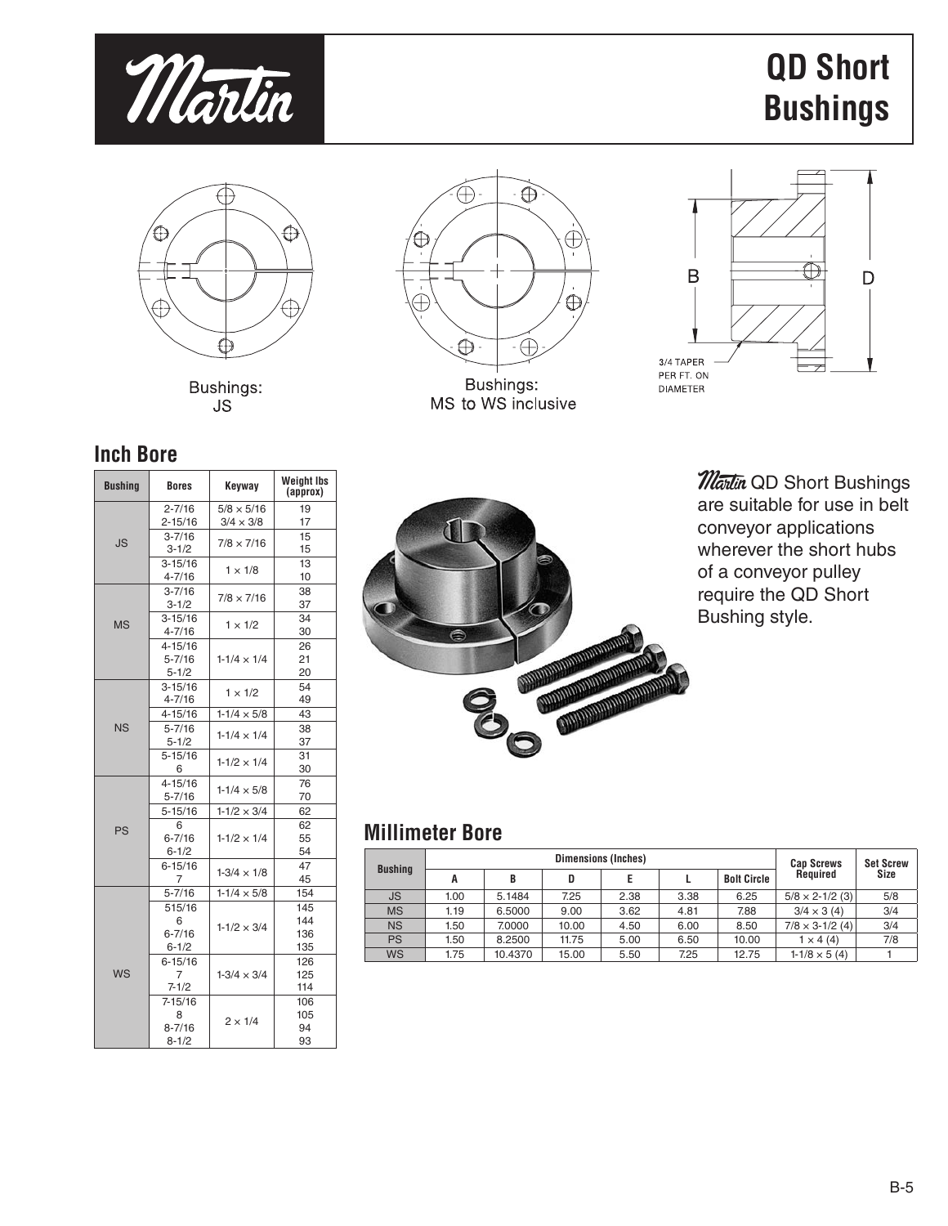

# **QD Short Bushings**



Bushings: **JS** 



MS to WS inclusive



## **Inch Bore**

| <b>Bushing</b> | <b>Bores</b>                        | Keyway               | <b>Weight lbs</b><br>(approx) |
|----------------|-------------------------------------|----------------------|-------------------------------|
|                | $2 - 7/16$                          | $5/8 \times 5/16$    | 19                            |
|                | 2-15/16                             | $3/4 \times 3/8$     | 17                            |
| JS.            | $3 - 7/16$<br>3-1/2                 | $7/8 \times 7/16$    | 15<br>15                      |
|                | $3 - 15/16$<br>$4 - 7/16$           | $1 \times 1/8$       | 13<br>10                      |
|                | $3 - 7/16$<br>$3 - 1/2$             | $7/8 \times 7/16$    | 38<br>37                      |
| <b>MS</b>      | $3 - 15/16$<br>4-7/16               | $1 \times 1/2$       | 34<br>30                      |
|                | 4-15/16<br>$5 - 7/16$<br>$5 - 1/2$  | $1-1/4 \times 1/4$   | 26<br>21<br>20                |
| <b>NS</b>      | $3 - 15/16$<br>4-7/16               | $1 \times 1/2$       | 54<br>49                      |
|                | 4-15/16                             | $1 - 1/4 \times 5/8$ | 43                            |
|                | $5 - 7/16$<br>$5 - 1/2$             | $1 - 1/4 \times 1/4$ | 38<br>37                      |
|                | $5 - 15/16$<br>6                    | $1 - 1/2 \times 1/4$ | 31<br>30                      |
|                | 4-15/16<br>$5 - 7/16$               | $1 - 1/4 \times 5/8$ | 76<br>70                      |
|                | $5 - 15/16$                         | $1 - 1/2 \times 3/4$ | 62                            |
| PS             | 6<br>$6 - 7/16$<br>$6 - 1/2$        | $1 - 1/2 \times 1/4$ | 62<br>55<br>54                |
|                | $6 - 15/16$<br>7                    | $1-3/4 \times 1/8$   | 47<br>45                      |
|                | 5-7/16                              | $1 - 1/4 \times 5/8$ | 154                           |
|                | 515/16<br>6<br>$6 - 7/16$<br>6-1/2  | $1 - 1/2 \times 3/4$ | 145<br>144<br>136<br>135      |
| WS             | $6 - 15/16$<br>7<br>$7 - 1/2$       | $1-3/4 \times 3/4$   | 126<br>125<br>114             |
|                | 7-15/16<br>8<br>$8 - 7/16$<br>8-1/2 | $2 \times 1/4$       | 106<br>105<br>94<br>93        |



**Martin QD Short Bushings** are suitable for use in belt conveyor applications wherever the short hubs of a conveyor pulley require the QD Short Bushing style.

## **Millimeter Bore**

| <b>Bushing</b> |      |         | <b>Cap Screws</b> | <b>Set Screw</b> |      |                    |                          |      |  |
|----------------|------|---------|-------------------|------------------|------|--------------------|--------------------------|------|--|
|                |      | B       | D                 |                  |      | <b>Bolt Circle</b> | Reauired                 | Size |  |
| JS             | 1.00 | 5.1484  | 7.25              | 2.38             | 3.38 | 6.25               | $5/8 \times 2 - 1/2$ (3) | 5/8  |  |
| <b>MS</b>      | 1.19 | 6.5000  | 9.00              | 3.62             | 4.81 | 7.88               | $3/4 \times 3(4)$        | 3/4  |  |
| <b>NS</b>      | 1.50 | 7.0000  | 10.00             | 4.50             | 6.00 | 8.50               | $7/8 \times 3 - 1/2$ (4) | 3/4  |  |
| <b>PS</b>      | 1.50 | 8.2500  | 11.75             | 5.00             | 6.50 | 10.00              | $1 \times 4(4)$          | 7/8  |  |
| <b>WS</b>      | 1.75 | 10.4370 | 15.00             | 5.50             | 7.25 | 12.75              | $1-1/8 \times 5(4)$      |      |  |